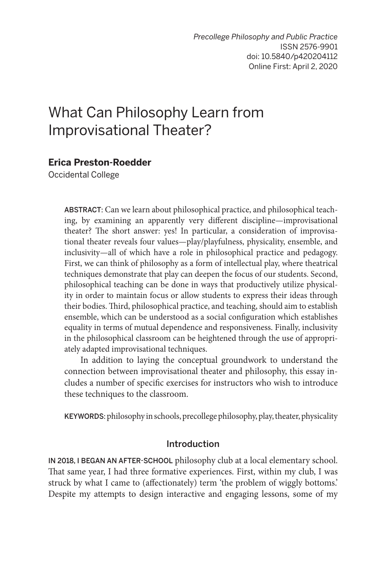# What Can Philosophy Learn from Improvisational Theater?

## **Erica Preston-Roedder**

Occidental College

ABSTRACT: Can we learn about philosophical practice, and philosophical teaching, by examining an apparently very different discipline—improvisational theater? The short answer: yes! In particular, a consideration of improvisational theater reveals four values—play/playfulness, physicality, ensemble, and inclusivity—all of which have a role in philosophical practice and pedagogy. First, we can think of philosophy as a form of intellectual play, where theatrical techniques demonstrate that play can deepen the focus of our students. Second, philosophical teaching can be done in ways that productively utilize physicality in order to maintain focus or allow students to express their ideas through their bodies. Third, philosophical practice, and teaching, should aim to establish ensemble, which can be understood as a social configuration which establishes equality in terms of mutual dependence and responsiveness. Finally, inclusivity in the philosophical classroom can be heightened through the use of appropriately adapted improvisational techniques.

In addition to laying the conceptual groundwork to understand the connection between improvisational theater and philosophy, this essay includes a number of specific exercises for instructors who wish to introduce these techniques to the classroom.

KEYWORDS: philosophy in schools, precollege philosophy, play, theater, physicality

#### Introduction

IN 2018, I BEGAN AN AFTER-SCHOOL philosophy club at a local elementary school. That same year, I had three formative experiences. First, within my club, I was struck by what I came to (affectionately) term 'the problem of wiggly bottoms.' Despite my attempts to design interactive and engaging lessons, some of my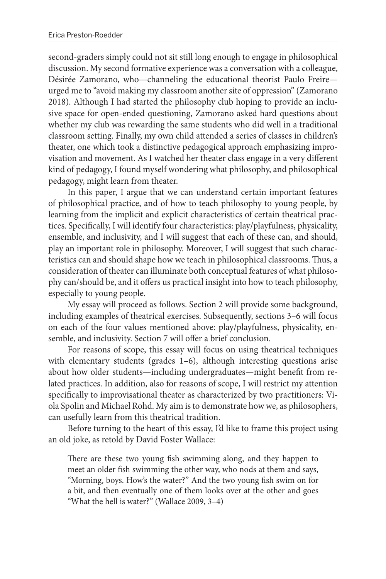second-graders simply could not sit still long enough to engage in philosophical discussion. My second formative experience was a conversation with a colleague, Désirée Zamorano, who—channeling the educational theorist Paulo Freire urged me to "avoid making my classroom another site of oppression" (Zamorano 2018). Although I had started the philosophy club hoping to provide an inclusive space for open-ended questioning, Zamorano asked hard questions about whether my club was rewarding the same students who did well in a traditional classroom setting. Finally, my own child attended a series of classes in children's theater, one which took a distinctive pedagogical approach emphasizing improvisation and movement. As I watched her theater class engage in a very different kind of pedagogy, I found myself wondering what philosophy, and philosophical pedagogy, might learn from theater.

In this paper, I argue that we can understand certain important features of philosophical practice, and of how to teach philosophy to young people, by learning from the implicit and explicit characteristics of certain theatrical practices. Specifically, I will identify four characteristics: play/playfulness, physicality, ensemble, and inclusivity, and I will suggest that each of these can, and should, play an important role in philosophy. Moreover, I will suggest that such characteristics can and should shape how we teach in philosophical classrooms. Thus, a consideration of theater can illuminate both conceptual features of what philosophy can/should be, and it offers us practical insight into how to teach philosophy, especially to young people.

My essay will proceed as follows. Section 2 will provide some background, including examples of theatrical exercises. Subsequently, sections 3–6 will focus on each of the four values mentioned above: play/playfulness, physicality, ensemble, and inclusivity. Section 7 will offer a brief conclusion.

For reasons of scope, this essay will focus on using theatrical techniques with elementary students (grades 1–6), although interesting questions arise about how older students—including undergraduates—might benefit from related practices. In addition, also for reasons of scope, I will restrict my attention specifically to improvisational theater as characterized by two practitioners: Viola Spolin and Michael Rohd. My aim is to demonstrate how we, as philosophers, can usefully learn from this theatrical tradition.

Before turning to the heart of this essay, I'd like to frame this project using an old joke, as retold by David Foster Wallace:

There are these two young fish swimming along, and they happen to meet an older fish swimming the other way, who nods at them and says, "Morning, boys. How's the water?" And the two young fish swim on for a bit, and then eventually one of them looks over at the other and goes "What the hell is water?" (Wallace 2009, 3–4)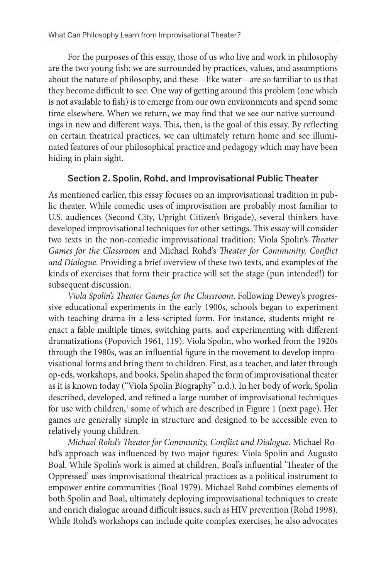<span id="page-2-0"></span>For the purposes of this essay, those of us who live and work in philosophy are the two young fish: we are surrounded by practices, values, and assumptions about the nature of philosophy, and these—like water—are so familiar to us that they become difficult to see. One way of getting around this problem (one which is not available to fish) is to emerge from our own environments and spend some time elsewhere. When we return, we may find that we see our native surroundings in new and different ways. This, then, is the goal of this essay. By reflecting on certain theatrical practices, we can ultimately return home and see illuminated features of our philosophical practice and pedagogy which may have been hiding in plain sight.

### Section 2. Spolin, Rohd, and Improvisational Public Theater

As mentioned earlier, this essay focuses on an improvisational tradition in public theater. While comedic uses of improvisation are probably most familiar to U.S. audiences (Second City, Upright Citizen's Brigade), several thinkers have developed improvisational techniques for other settings. This essay will consider two texts in the non-comedic improvisational tradition: Viola Spolin's *Theater Games for the Classroom* and Michael Rohd's *Theater for Community, Conflict and Dialogue.* Providing a brief overview of these two texts, and examples of the kinds of exercises that form their practice will set the stage (pun intended!) for subsequent discussion.

*Viola Spolin's Theater Games for the Classroom*. Following Dewey's progressive educational experiments in the early 1900s, schools began to experiment with teaching drama in a less-scripted form. For instance, students might reenact a fable multiple times, switching parts, and experimenting with different dramatizations (Popovich 1961, 119). Viola Spolin, who worked from the 1920s through the 1980s, was an influential figure in the movement to develop improvisational forms and bring them to children. First, as a teacher, and later through op-eds, workshops, and books, Spolin shaped the form of improvisational theater as it is known today ("Viola Spolin Biography" n.d.). In her body of work, Spolin described, developed, and refined a large number of improvisational techniques for use with children,<sup>1</sup> some of which are described in Figure 1 (next page). Her games are generally simple in structure and designed to be accessible even to relatively young children.

*Michael Rohd's Theater for Community, Conflict and Dialogue.* Michael Rohd's approach was influenced by two major figures: Viola Spolin and Augusto Boal. While Spolin's work is aimed at children, Boal's influential 'Theater of the Oppressed' uses improvisational theatrical practices as a political instrument to empower entire communities (Boal 1979). Michael Rohd combines elements of both Spolin and Boal, ultimately deploying improvisational techniques to create and enrich dialogue around difficult issues, such as HIV prevention (Rohd 1998). While Rohd's workshops can include quite complex exercises, he also advocates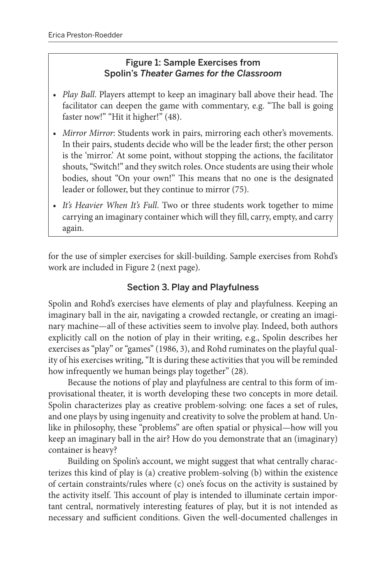## Figure 1: Sample Exercises from Spolin's *Theater Games for the Classroom*

- *• Play Ball*. Players attempt to keep an imaginary ball above their head. The facilitator can deepen the game with commentary, e.g. "The ball is going faster now!" "Hit it higher!" (48).
- *• Mirror Mirror*: Students work in pairs, mirroring each other's movements. In their pairs, students decide who will be the leader first; the other person is the 'mirror.' At some point, without stopping the actions, the facilitator shouts, "Switch!" and they switch roles. Once students are using their whole bodies, shout "On your own!" This means that no one is the designated leader or follower, but they continue to mirror (75).
- *• It's Heavier When It's Full*. Two or three students work together to mime carrying an imaginary container which will they fill, carry, empty, and carry again.

for the use of simpler exercises for skill-building. Sample exercises from Rohd's work are included in Figure 2 (next page).

# Section 3. Play and Playfulness

Spolin and Rohd's exercises have elements of play and playfulness. Keeping an imaginary ball in the air, navigating a crowded rectangle, or creating an imaginary machine—all of these activities seem to involve play. Indeed, both authors explicitly call on the notion of play in their writing, e.g., Spolin describes her exercises as "play" or "games" (1986, 3), and Rohd ruminates on the playful quality of his exercises writing, "It is during these activities that you will be reminded how infrequently we human beings play together" (28).

Because the notions of play and playfulness are central to this form of improvisational theater, it is worth developing these two concepts in more detail. Spolin characterizes play as creative problem-solving: one faces a set of rules, and one plays by using ingenuity and creativity to solve the problem at hand. Unlike in philosophy, these "problems" are often spatial or physical—how will you keep an imaginary ball in the air? How do you demonstrate that an (imaginary) container is heavy?

Building on Spolin's account, we might suggest that what centrally characterizes this kind of play is (a) creative problem-solving (b) within the existence of certain constraints/rules where (c) one's focus on the activity is sustained by the activity itself. This account of play is intended to illuminate certain important central, normatively interesting features of play, but it is not intended as necessary and sufficient conditions. Given the well-documented challenges in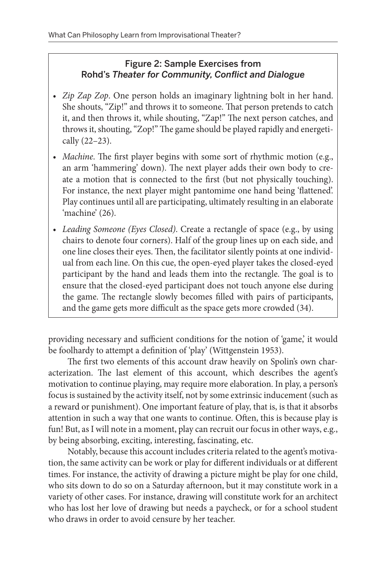# Figure 2: Sample Exercises from Rohd's *Theater for Community, Conflict and Dialogue*

- *• Zip Zap Zop*. One person holds an imaginary lightning bolt in her hand. She shouts, "Zip!" and throws it to someone. That person pretends to catch it, and then throws it, while shouting, "Zap!" The next person catches, and throws it, shouting, "Zop!" The game should be played rapidly and energetically (22–23).
- *• Machine*. The first player begins with some sort of rhythmic motion (e.g., an arm 'hammering' down). The next player adds their own body to create a motion that is connected to the first (but not physically touching). For instance, the next player might pantomime one hand being 'flattened'. Play continues until all are participating, ultimately resulting in an elaborate 'machine' (26).
- *• Leading Someone (Eyes Closed)*. Create a rectangle of space (e.g., by using chairs to denote four corners). Half of the group lines up on each side, and one line closes their eyes. Then, the facilitator silently points at one individual from each line. On this cue, the open-eyed player takes the closed-eyed participant by the hand and leads them into the rectangle. The goal is to ensure that the closed-eyed participant does not touch anyone else during the game. The rectangle slowly becomes filled with pairs of participants, and the game gets more difficult as the space gets more crowded (34).

providing necessary and sufficient conditions for the notion of 'game,' it would be foolhardy to attempt a definition of 'play' (Wittgenstein 1953).

The first two elements of this account draw heavily on Spolin's own characterization. The last element of this account, which describes the agent's motivation to continue playing, may require more elaboration. In play, a person's focus is sustained by the activity itself, not by some extrinsic inducement (such as a reward or punishment). One important feature of play, that is, is that it absorbs attention in such a way that one wants to continue. Often, this is because play is fun! But, as I will note in a moment, play can recruit our focus in other ways, e.g., by being absorbing, exciting, interesting, fascinating, etc.

Notably, because this account includes criteria related to the agent's motivation, the same activity can be work or play for different individuals or at different times. For instance, the activity of drawing a picture might be play for one child, who sits down to do so on a Saturday afternoon, but it may constitute work in a variety of other cases. For instance, drawing will constitute work for an architect who has lost her love of drawing but needs a paycheck, or for a school student who draws in order to avoid censure by her teacher.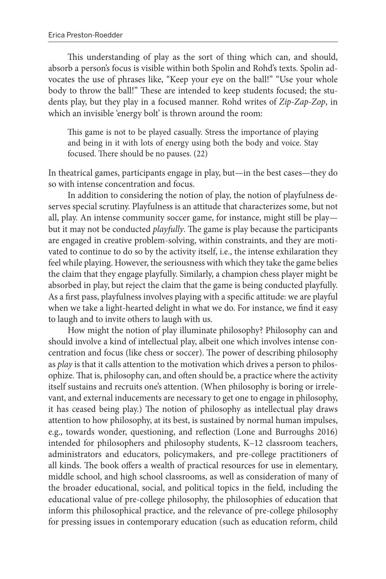This understanding of play as the sort of thing which can, and should, absorb a person's focus is visible within both Spolin and Rohd's texts. Spolin advocates the use of phrases like, "Keep your eye on the ball!" "Use your whole body to throw the ball!" These are intended to keep students focused; the students play, but they play in a focused manner. Rohd writes of *Zip-Zap-Zop*, in which an invisible 'energy bolt' is thrown around the room:

This game is not to be played casually. Stress the importance of playing and being in it with lots of energy using both the body and voice. Stay focused. There should be no pauses. (22)

In theatrical games, participants engage in play, but—in the best cases—they do so with intense concentration and focus.

In addition to considering the notion of play, the notion of playfulness deserves special scrutiny. Playfulness is an attitude that characterizes some, but not all, play. An intense community soccer game, for instance, might still be play but it may not be conducted *playfully*. The game is play because the participants are engaged in creative problem-solving, within constraints, and they are motivated to continue to do so by the activity itself, i.e., the intense exhilaration they feel while playing. However, the seriousness with which they take the game belies the claim that they engage playfully. Similarly, a champion chess player might be absorbed in play, but reject the claim that the game is being conducted playfully. As a first pass, playfulness involves playing with a specific attitude: we are playful when we take a light-hearted delight in what we do. For instance, we find it easy to laugh and to invite others to laugh with us.

How might the notion of play illuminate philosophy? Philosophy can and should involve a kind of intellectual play, albeit one which involves intense concentration and focus (like chess or soccer). The power of describing philosophy as *play* is that it calls attention to the motivation which drives a person to philosophize. That is, philosophy can, and often should be, a practice where the activity itself sustains and recruits one's attention. (When philosophy is boring or irrelevant, and external inducements are necessary to get one to engage in philosophy, it has ceased being play.) The notion of philosophy as intellectual play draws attention to how philosophy, at its best, is sustained by normal human impulses, e.g., towards wonder, questioning, and reflection (Lone and Burroughs 2016) intended for philosophers and philosophy students, K–12 classroom teachers, administrators and educators, policymakers, and pre-college practitioners of all kinds. The book offers a wealth of practical resources for use in elementary, middle school, and high school classrooms, as well as consideration of many of the broader educational, social, and political topics in the field, including the educational value of pre-college philosophy, the philosophies of education that inform this philosophical practice, and the relevance of pre-college philosophy for pressing issues in contemporary education (such as education reform, child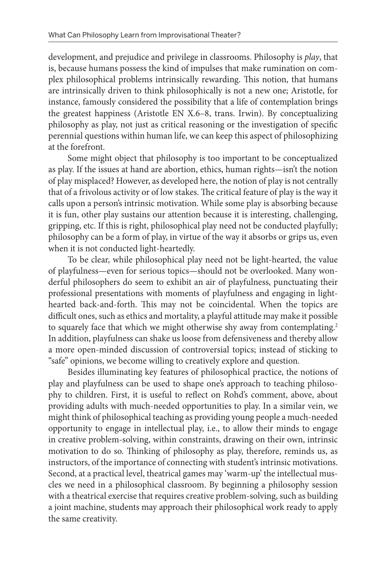<span id="page-6-0"></span>development, and prejudice and privilege in classrooms. Philosophy is *play*, that is, because humans possess the kind of impulses that make rumination on complex philosophical problems intrinsically rewarding. This notion, that humans are intrinsically driven to think philosophically is not a new one; Aristotle, for instance, famously considered the possibility that a life of contemplation brings the greatest happiness (Aristotle EN X.6–8, trans. Irwin). By conceptualizing philosophy as play, not just as critical reasoning or the investigation of specific perennial questions within human life, we can keep this aspect of philosophizing at the forefront.

Some might object that philosophy is too important to be conceptualized as play. If the issues at hand are abortion, ethics, human rights—isn't the notion of play misplaced? However, as developed here, the notion of play is not centrally that of a frivolous activity or of low stakes. The critical feature of play is the way it calls upon a person's intrinsic motivation. While some play is absorbing because it is fun, other play sustains our attention because it is interesting, challenging, gripping, etc. If this is right, philosophical play need not be conducted playfully; philosophy can be a form of play, in virtue of the way it absorbs or grips us, even when it is not conducted light-heartedly.

To be clear, while philosophical play need not be light-hearted, the value of playfulness—even for serious topics—should not be overlooked. Many wonderful philosophers do seem to exhibit an air of playfulness, punctuating their professional presentations with moments of playfulness and engaging in lighthearted back-and-forth. This may not be coincidental. When the topics are difficult ones, such as ethics and mortality, a playful attitude may make it possible to squarely face that which we might otherwise shy away from contemplating.<sup>2</sup> In addition, playfulness can shake us loose from defensiveness and thereby allow a more open-minded discussion of controversial topics; instead of sticking to "safe" opinions, we become willing to creatively explore and question.

Besides illuminating key features of philosophical practice, the notions of play and playfulness can be used to shape one's approach to teaching philosophy to children. First, it is useful to reflect on Rohd's comment, above, about providing adults with much-needed opportunities to play. In a similar vein, we might think of philosophical teaching as providing young people a much-needed opportunity to engage in intellectual play, i.e., to allow their minds to engage in creative problem-solving, within constraints, drawing on their own, intrinsic motivation to do so. Thinking of philosophy as play, therefore, reminds us, as instructors, of the importance of connecting with student's intrinsic motivations. Second, at a practical level, theatrical games may 'warm-up' the intellectual muscles we need in a philosophical classroom. By beginning a philosophy session with a theatrical exercise that requires creative problem-solving, such as building a joint machine, students may approach their philosophical work ready to apply the same creativity.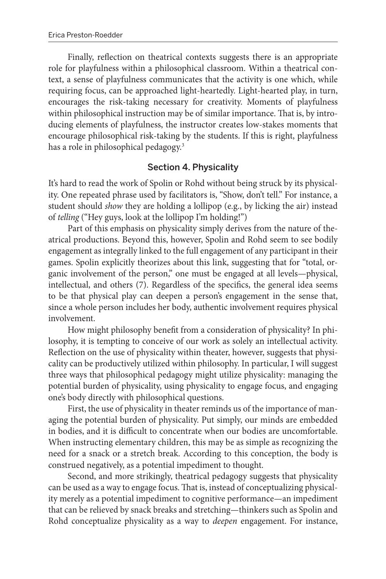<span id="page-7-0"></span>Finally, reflection on theatrical contexts suggests there is an appropriate role for playfulness within a philosophical classroom. Within a theatrical context, a sense of playfulness communicates that the activity is one which, while requiring focus, can be approached light-heartedly. Light-hearted play, in turn, encourages the risk-taking necessary for creativity. Moments of playfulness within philosophical instruction may be of similar importance. That is, by introducing elements of playfulness, the instructor creates low-stakes moments that encourage philosophical risk-taking by the students. If this is right, playfulness has a role in philosophical pedagogy.<sup>3</sup>

### Section 4. Physicality

It's hard to read the work of Spolin or Rohd without being struck by its physicality. One repeated phrase used by facilitators is, "Show, don't tell." For instance, a student should *show* they are holding a lollipop (e.g., by licking the air) instead of *telling* ("Hey guys, look at the lollipop I'm holding!")

Part of this emphasis on physicality simply derives from the nature of theatrical productions. Beyond this, however, Spolin and Rohd seem to see bodily engagement as integrally linked to the full engagement of any participant in their games. Spolin explicitly theorizes about this link, suggesting that for "total, organic involvement of the person," one must be engaged at all levels—physical, intellectual, and others (7). Regardless of the specifics, the general idea seems to be that physical play can deepen a person's engagement in the sense that, since a whole person includes her body, authentic involvement requires physical involvement.

How might philosophy benefit from a consideration of physicality? In philosophy, it is tempting to conceive of our work as solely an intellectual activity. Reflection on the use of physicality within theater, however, suggests that physicality can be productively utilized within philosophy. In particular, I will suggest three ways that philosophical pedagogy might utilize physicality: managing the potential burden of physicality, using physicality to engage focus, and engaging one's body directly with philosophical questions.

First, the use of physicality in theater reminds us of the importance of managing the potential burden of physicality. Put simply, our minds are embedded in bodies, and it is difficult to concentrate when our bodies are uncomfortable. When instructing elementary children, this may be as simple as recognizing the need for a snack or a stretch break. According to this conception, the body is construed negatively, as a potential impediment to thought.

Second, and more strikingly, theatrical pedagogy suggests that physicality can be used as a way to engage focus. That is, instead of conceptualizing physicality merely as a potential impediment to cognitive performance—an impediment that can be relieved by snack breaks and stretching—thinkers such as Spolin and Rohd conceptualize physicality as a way to *deepen* engagement. For instance,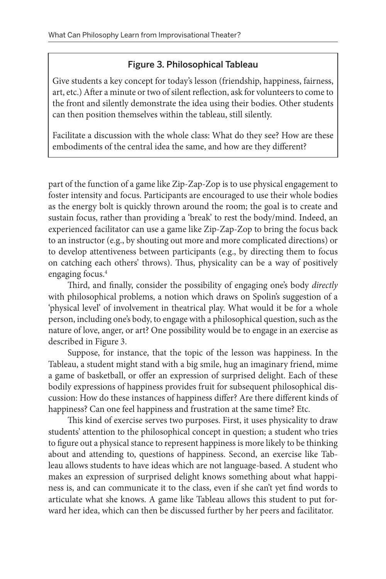## Figure 3. Philosophical Tableau

<span id="page-8-0"></span>Give students a key concept for today's lesson (friendship, happiness, fairness, art, etc.) After a minute or two of silent reflection, ask for volunteers to come to the front and silently demonstrate the idea using their bodies. Other students can then position themselves within the tableau, still silently.

Facilitate a discussion with the whole class: What do they see? How are these embodiments of the central idea the same, and how are they different?

part of the function of a game like Zip-Zap-Zop is to use physical engagement to foster intensity and focus. Participants are encouraged to use their whole bodies as the energy bolt is quickly thrown around the room; the goal is to create and sustain focus, rather than providing a 'break' to rest the body/mind. Indeed, an experienced facilitator can use a game like Zip-Zap-Zop to bring the focus back to an instructor (e.g., by shouting out more and more complicated directions) or to develop attentiveness between participants (e.g., by directing them to focus on catching each others' throws). Thus, physicality can be a way of positively engaging focus.<sup>4</sup>

Third, and finally, consider the possibility of engaging one's body *directly*  with philosophical problems, a notion which draws on Spolin's suggestion of a 'physical level' of involvement in theatrical play. What would it be for a whole person, including one's body, to engage with a philosophical question, such as the nature of love, anger, or art? One possibility would be to engage in an exercise as described in Figure 3.

Suppose, for instance, that the topic of the lesson was happiness. In the Tableau, a student might stand with a big smile, hug an imaginary friend, mime a game of basketball, or offer an expression of surprised delight. Each of these bodily expressions of happiness provides fruit for subsequent philosophical discussion: How do these instances of happiness differ? Are there different kinds of happiness? Can one feel happiness and frustration at the same time? Etc.

This kind of exercise serves two purposes. First, it uses physicality to draw students' attention to the philosophical concept in question; a student who tries to figure out a physical stance to represent happiness is more likely to be thinking about and attending to, questions of happiness. Second, an exercise like Tableau allows students to have ideas which are not language-based. A student who makes an expression of surprised delight knows something about what happiness is, and can communicate it to the class, even if she can't yet find words to articulate what she knows. A game like Tableau allows this student to put forward her idea, which can then be discussed further by her peers and facilitator.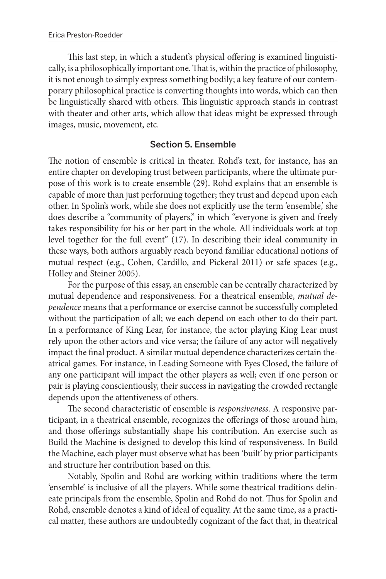This last step, in which a student's physical offering is examined linguistically, is a philosophically important one. That is, within the practice of philosophy, it is not enough to simply express something bodily; a key feature of our contemporary philosophical practice is converting thoughts into words, which can then be linguistically shared with others. This linguistic approach stands in contrast with theater and other arts, which allow that ideas might be expressed through images, music, movement, etc.

### Section 5. Ensemble

The notion of ensemble is critical in theater. Rohd's text, for instance, has an entire chapter on developing trust between participants, where the ultimate purpose of this work is to create ensemble (29). Rohd explains that an ensemble is capable of more than just performing together; they trust and depend upon each other. In Spolin's work, while she does not explicitly use the term 'ensemble,' she does describe a "community of players," in which "everyone is given and freely takes responsibility for his or her part in the whole. All individuals work at top level together for the full event" (17). In describing their ideal community in these ways, both authors arguably reach beyond familiar educational notions of mutual respect (e.g., Cohen, Cardillo, and Pickeral 2011) or safe spaces (e.g., Holley and Steiner 2005).

For the purpose of this essay, an ensemble can be centrally characterized by mutual dependence and responsiveness. For a theatrical ensemble, *mutual dependence* means that a performance or exercise cannot be successfully completed without the participation of all; we each depend on each other to do their part. In a performance of King Lear, for instance, the actor playing King Lear must rely upon the other actors and vice versa; the failure of any actor will negatively impact the final product. A similar mutual dependence characterizes certain theatrical games. For instance, in Leading Someone with Eyes Closed, the failure of any one participant will impact the other players as well; even if one person or pair is playing conscientiously, their success in navigating the crowded rectangle depends upon the attentiveness of others.

The second characteristic of ensemble is *responsiveness*. A responsive participant, in a theatrical ensemble, recognizes the offerings of those around him, and those offerings substantially shape his contribution. An exercise such as Build the Machine is designed to develop this kind of responsiveness. In Build the Machine, each player must observe what has been 'built' by prior participants and structure her contribution based on this.

Notably, Spolin and Rohd are working within traditions where the term 'ensemble' is inclusive of all the players. While some theatrical traditions delineate principals from the ensemble, Spolin and Rohd do not. Thus for Spolin and Rohd, ensemble denotes a kind of ideal of equality. At the same time, as a practical matter, these authors are undoubtedly cognizant of the fact that, in theatrical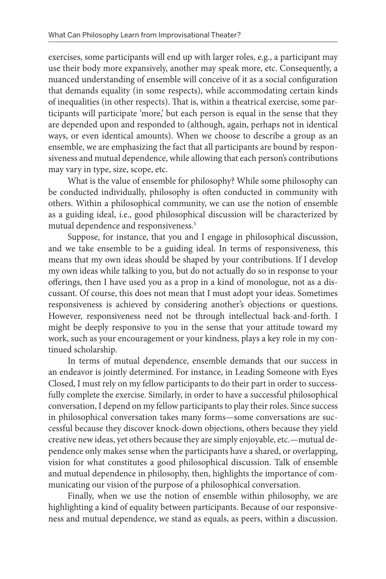<span id="page-10-0"></span>exercises, some participants will end up with larger roles, e.g., a participant may use their body more expansively, another may speak more, etc. Consequently, a nuanced understanding of ensemble will conceive of it as a social configuration that demands equality (in some respects), while accommodating certain kinds of inequalities (in other respects). That is, within a theatrical exercise, some participants will participate 'more,' but each person is equal in the sense that they are depended upon and responded to (although, again, perhaps not in identical ways, or even identical amounts). When we choose to describe a group as an ensemble, we are emphasizing the fact that all participants are bound by responsiveness and mutual dependence, while allowing that each person's contributions may vary in type, size, scope, etc.

What is the value of ensemble for philosophy? While some philosophy can be conducted individually, philosophy is often conducted in community with others. Within a philosophical community, we can use the notion of ensemble as a guiding ideal, i.e., good philosophical discussion will be characterized by mutual dependence and responsiveness.<sup>[5](#page-16-0)</sup>

Suppose, for instance, that you and I engage in philosophical discussion, and we take ensemble to be a guiding ideal. In terms of responsiveness, this means that my own ideas should be shaped by your contributions. If I develop my own ideas while talking to you, but do not actually do so in response to your offerings, then I have used you as a prop in a kind of monologue, not as a discussant. Of course, this does not mean that I must adopt your ideas. Sometimes responsiveness is achieved by considering another's objections or questions. However, responsiveness need not be through intellectual back-and-forth. I might be deeply responsive to you in the sense that your attitude toward my work, such as your encouragement or your kindness, plays a key role in my continued scholarship.

In terms of mutual dependence, ensemble demands that our success in an endeavor is jointly determined. For instance, in Leading Someone with Eyes Closed, I must rely on my fellow participants to do their part in order to successfully complete the exercise. Similarly, in order to have a successful philosophical conversation, I depend on my fellow participants to play their roles. Since success in philosophical conversation takes many forms—some conversations are successful because they discover knock-down objections, others because they yield creative new ideas, yet others because they are simply enjoyable, etc.—mutual dependence only makes sense when the participants have a shared, or overlapping, vision for what constitutes a good philosophical discussion. Talk of ensemble and mutual dependence in philosophy, then, highlights the importance of communicating our vision of the purpose of a philosophical conversation.

Finally, when we use the notion of ensemble within philosophy, we are highlighting a kind of equality between participants. Because of our responsiveness and mutual dependence, we stand as equals, as peers, within a discussion.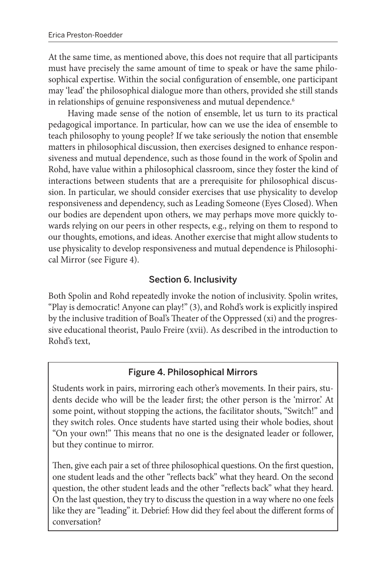<span id="page-11-0"></span>At the same time, as mentioned above, this does not require that all participants must have precisely the same amount of time to speak or have the same philosophical expertise. Within the social configuration of ensemble, one participant may 'lead' the philosophical dialogue more than others, provided she still stands in relationships of genuine responsiveness and mutual dependence.<sup>[6](#page-16-0)</sup>

Having made sense of the notion of ensemble, let us turn to its practical pedagogical importance. In particular, how can we use the idea of ensemble to teach philosophy to young people? If we take seriously the notion that ensemble matters in philosophical discussion, then exercises designed to enhance responsiveness and mutual dependence, such as those found in the work of Spolin and Rohd, have value within a philosophical classroom, since they foster the kind of interactions between students that are a prerequisite for philosophical discussion. In particular, we should consider exercises that use physicality to develop responsiveness and dependency, such as Leading Someone (Eyes Closed). When our bodies are dependent upon others, we may perhaps move more quickly towards relying on our peers in other respects, e.g., relying on them to respond to our thoughts, emotions, and ideas. Another exercise that might allow students to use physicality to develop responsiveness and mutual dependence is Philosophical Mirror (see Figure 4).

# Section 6. Inclusivity

Both Spolin and Rohd repeatedly invoke the notion of inclusivity. Spolin writes, "Play is democratic! Anyone can play!" (3), and Rohd's work is explicitly inspired by the inclusive tradition of Boal's Theater of the Oppressed (xi) and the progressive educational theorist, Paulo Freire (xvii). As described in the introduction to Rohd's text,

## Figure 4. Philosophical Mirrors

Students work in pairs, mirroring each other's movements. In their pairs, students decide who will be the leader first; the other person is the 'mirror.' At some point, without stopping the actions, the facilitator shouts, "Switch!" and they switch roles. Once students have started using their whole bodies, shout "On your own!" This means that no one is the designated leader or follower, but they continue to mirror.

Then, give each pair a set of three philosophical questions. On the first question, one student leads and the other "reflects back" what they heard. On the second question, the other student leads and the other "reflects back" what they heard. On the last question, they try to discuss the question in a way where no one feels like they are "leading" it. Debrief: How did they feel about the different forms of conversation?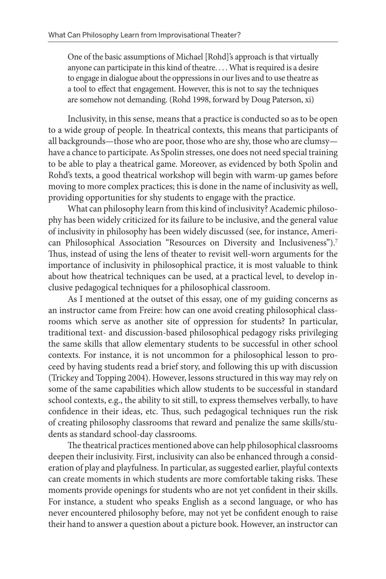<span id="page-12-0"></span>One of the basic assumptions of Michael [Rohd]'s approach is that virtually anyone can participate in this kind of theatre. . . . What is required is a desire to engage in dialogue about the oppressions in our lives and to use theatre as a tool to effect that engagement. However, this is not to say the techniques are somehow not demanding. (Rohd 1998, forward by Doug Paterson, xi)

Inclusivity, in this sense, means that a practice is conducted so as to be open to a wide group of people. In theatrical contexts, this means that participants of all backgrounds—those who are poor, those who are shy, those who are clumsy have a chance to participate. As Spolin stresses, one does not need special training to be able to play a theatrical game. Moreover, as evidenced by both Spolin and Rohd's texts, a good theatrical workshop will begin with warm-up games before moving to more complex practices; this is done in the name of inclusivity as well, providing opportunities for shy students to engage with the practice.

What can philosophy learn from this kind of inclusivity? Academic philosophy has been widely criticized for its failure to be inclusive, and the general value of inclusivity in philosophy has been widely discussed (see, for instance, American Philosophical Association "Resources on Diversity and Inclusiveness").<sup>7</sup> Thus, instead of using the lens of theater to revisit well-worn arguments for the importance of inclusivity in philosophical practice, it is most valuable to think about how theatrical techniques can be used, at a practical level, to develop inclusive pedagogical techniques for a philosophical classroom.

As I mentioned at the outset of this essay, one of my guiding concerns as an instructor came from Freire: how can one avoid creating philosophical classrooms which serve as another site of oppression for students? In particular, traditional text- and discussion-based philosophical pedagogy risks privileging the same skills that allow elementary students to be successful in other school contexts. For instance, it is not uncommon for a philosophical lesson to proceed by having students read a brief story, and following this up with discussion (Trickey and Topping 2004). However, lessons structured in this way may rely on some of the same capabilities which allow students to be successful in standard school contexts, e.g., the ability to sit still, to express themselves verbally, to have confidence in their ideas, etc. Thus, such pedagogical techniques run the risk of creating philosophy classrooms that reward and penalize the same skills/students as standard school-day classrooms.

The theatrical practices mentioned above can help philosophical classrooms deepen their inclusivity. First, inclusivity can also be enhanced through a consideration of play and playfulness. In particular, as suggested earlier, playful contexts can create moments in which students are more comfortable taking risks. These moments provide openings for students who are not yet confident in their skills. For instance, a student who speaks English as a second language, or who has never encountered philosophy before, may not yet be confident enough to raise their hand to answer a question about a picture book. However, an instructor can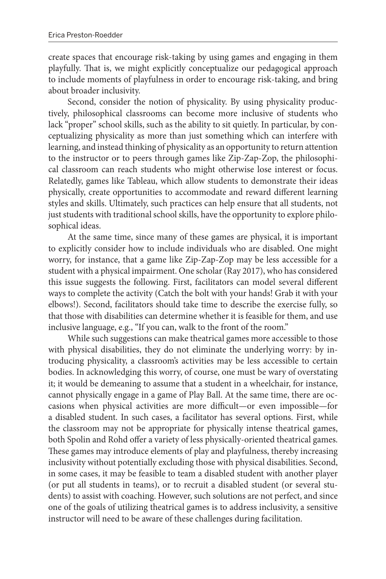create spaces that encourage risk-taking by using games and engaging in them playfully. That is, we might explicitly conceptualize our pedagogical approach to include moments of playfulness in order to encourage risk-taking, and bring about broader inclusivity.

Second, consider the notion of physicality. By using physicality productively, philosophical classrooms can become more inclusive of students who lack "proper" school skills, such as the ability to sit quietly. In particular, by conceptualizing physicality as more than just something which can interfere with learning, and instead thinking of physicality as an opportunity to return attention to the instructor or to peers through games like Zip-Zap-Zop, the philosophical classroom can reach students who might otherwise lose interest or focus. Relatedly, games like Tableau, which allow students to demonstrate their ideas physically, create opportunities to accommodate and reward different learning styles and skills. Ultimately, such practices can help ensure that all students, not just students with traditional school skills, have the opportunity to explore philosophical ideas.

At the same time, since many of these games are physical, it is important to explicitly consider how to include individuals who are disabled. One might worry, for instance, that a game like Zip-Zap-Zop may be less accessible for a student with a physical impairment. One scholar (Ray 2017), who has considered this issue suggests the following. First, facilitators can model several different ways to complete the activity (Catch the bolt with your hands! Grab it with your elbows!). Second, facilitators should take time to describe the exercise fully, so that those with disabilities can determine whether it is feasible for them, and use inclusive language, e.g., "If you can, walk to the front of the room."

While such suggestions can make theatrical games more accessible to those with physical disabilities, they do not eliminate the underlying worry: by introducing physicality, a classroom's activities may be less accessible to certain bodies. In acknowledging this worry, of course, one must be wary of overstating it; it would be demeaning to assume that a student in a wheelchair, for instance, cannot physically engage in a game of Play Ball. At the same time, there are occasions when physical activities are more difficult—or even impossible—for a disabled student. In such cases, a facilitator has several options. First, while the classroom may not be appropriate for physically intense theatrical games, both Spolin and Rohd offer a variety of less physically-oriented theatrical games. These games may introduce elements of play and playfulness, thereby increasing inclusivity without potentially excluding those with physical disabilities. Second, in some cases, it may be feasible to team a disabled student with another player (or put all students in teams), or to recruit a disabled student (or several students) to assist with coaching. However, such solutions are not perfect, and since one of the goals of utilizing theatrical games is to address inclusivity, a sensitive instructor will need to be aware of these challenges during facilitation.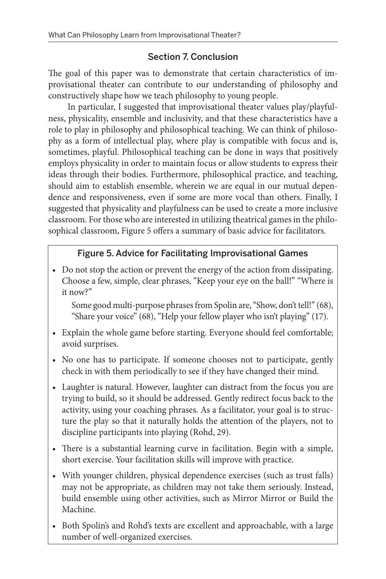## Section 7. Conclusion

The goal of this paper was to demonstrate that certain characteristics of improvisational theater can contribute to our understanding of philosophy and constructively shape how we teach philosophy to young people.

In particular, I suggested that improvisational theater values play/playfulness, physicality, ensemble and inclusivity, and that these characteristics have a role to play in philosophy and philosophical teaching. We can think of philosophy as a form of intellectual play, where play is compatible with focus and is, sometimes, playful. Philosophical teaching can be done in ways that positively employs physicality in order to maintain focus or allow students to express their ideas through their bodies. Furthermore, philosophical practice, and teaching, should aim to establish ensemble, wherein we are equal in our mutual dependence and responsiveness, even if some are more vocal than others. Finally, I suggested that physicality and playfulness can be used to create a more inclusive classroom. For those who are interested in utilizing theatrical games in the philosophical classroom, Figure 5 offers a summary of basic advice for facilitators.

# Figure 5. Advice for Facilitating Improvisational Games

• Do not stop the action or prevent the energy of the action from dissipating. Choose a few, simple, clear phrases, "Keep your eye on the ball!" "Where is it now?"

Some good multi-purpose phrases from Spolin are, "Show, don't tell!" (68), "Share your voice" (68), "Help your fellow player who isn't playing" (17).

- Explain the whole game before starting. Everyone should feel comfortable; avoid surprises.
- No one has to participate. If someone chooses not to participate, gently check in with them periodically to see if they have changed their mind.
- Laughter is natural. However, laughter can distract from the focus you are trying to build, so it should be addressed. Gently redirect focus back to the activity, using your coaching phrases. As a facilitator, your goal is to structure the play so that it naturally holds the attention of the players, not to discipline participants into playing (Rohd, 29).
- There is a substantial learning curve in facilitation. Begin with a simple, short exercise. Your facilitation skills will improve with practice.
- With younger children, physical dependence exercises (such as trust falls) may not be appropriate, as children may not take them seriously. Instead, build ensemble using other activities, such as Mirror Mirror or Build the Machine.
- Both Spolin's and Rohd's texts are excellent and approachable, with a large number of well-organized exercises.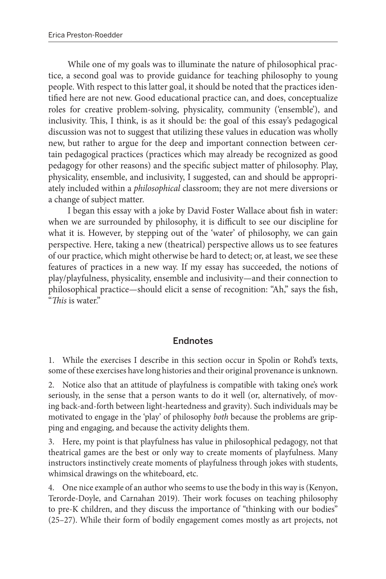<span id="page-15-0"></span>While one of my goals was to illuminate the nature of philosophical practice, a second goal was to provide guidance for teaching philosophy to young people. With respect to this latter goal, it should be noted that the practices identified here are not new. Good educational practice can, and does, conceptualize roles for creative problem-solving, physicality, community ('ensemble'), and inclusivity. This, I think, is as it should be: the goal of this essay's pedagogical discussion was not to suggest that utilizing these values in education was wholly new, but rather to argue for the deep and important connection between certain pedagogical practices (practices which may already be recognized as good pedagogy for other reasons) and the specific subject matter of philosophy. Play, physicality, ensemble, and inclusivity, I suggested, can and should be appropriately included within a *philosophical* classroom; they are not mere diversions or a change of subject matter.

I began this essay with a joke by David Foster Wallace about fish in water: when we are surrounded by philosophy, it is difficult to see our discipline for what it is. However, by stepping out of the 'water' of philosophy, we can gain perspective. Here, taking a new (theatrical) perspective allows us to see features of our practice, which might otherwise be hard to detect; or, at least, we see these features of practices in a new way. If my essay has succeeded, the notions of play/playfulness, physicality, ensemble and inclusivity—and their connection to philosophical practice—should elicit a sense of recognition: "Ah," says the fish, "*This* is water."

#### Endnotes

[1.](#page-2-0) While the exercises I describe in this section occur in Spolin or Rohd's texts, some of these exercises have long histories and their original provenance is unknown.

[2.](#page-6-0) Notice also that an attitude of playfulness is compatible with taking one's work seriously, in the sense that a person wants to do it well (or, alternatively, of moving back-and-forth between light-heartedness and gravity). Such individuals may be motivated to engage in the 'play' of philosophy *both* because the problems are gripping and engaging, and because the activity delights them.

[3.](#page-7-0) Here, my point is that playfulness has value in philosophical pedagogy, not that theatrical games are the best or only way to create moments of playfulness. Many instructors instinctively create moments of playfulness through jokes with students, whimsical drawings on the whiteboard, etc.

[4.](#page-8-0) One nice example of an author who seems to use the body in this way is (Kenyon, Terorde-Doyle, and Carnahan 2019). Their work focuses on teaching philosophy to pre-K children, and they discuss the importance of "thinking with our bodies" (25–27). While their form of bodily engagement comes mostly as art projects, not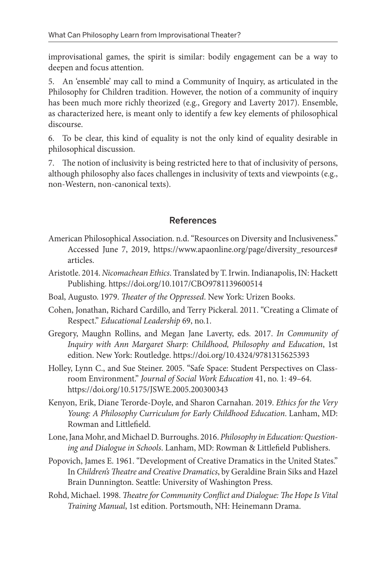<span id="page-16-0"></span>improvisational games, the spirit is similar: bodily engagement can be a way to deepen and focus attention.

[5.](#page-10-0) An 'ensemble' may call to mind a Community of Inquiry, as articulated in the Philosophy for Children tradition. However, the notion of a community of inquiry has been much more richly theorized (e.g., Gregory and Laverty 2017). Ensemble, as characterized here, is meant only to identify a few key elements of philosophical discourse.

[6.](#page-11-0) To be clear, this kind of equality is not the only kind of equality desirable in philosophical discussion.

[7.](#page-12-0) The notion of inclusivity is being restricted here to that of inclusivity of persons, although philosophy also faces challenges in inclusivity of texts and viewpoints (e.g., non-Western, non-canonical texts).

#### References

- American Philosophical Association. n.d. "Resources on Diversity and Inclusiveness." Accessed June 7, 2019, https://www.apaonline.org/page/diversity\_resources# articles.
- Aristotle. 2014. *Nicomachean Ethics*. Translated by T. Irwin. Indianapolis, IN: Hackett Publishing. https://doi.org/10.1017/CBO9781139600514
- Boal, Augusto. 1979. *Theater of the Oppressed*. New York: Urizen Books.
- Cohen, Jonathan, Richard Cardillo, and Terry Pickeral. 2011. "Creating a Climate of Respect." *Educational Leadership* 69, no.1.
- Gregory, Maughn Rollins, and Megan Jane Laverty, eds. 2017. *In Community of Inquiry with Ann Margaret Sharp: Childhood, Philosophy and Education*, 1st edition. New York: Routledge. https://doi.org/10.4324/9781315625393
- Holley, Lynn C., and Sue Steiner. 2005. "Safe Space: Student Perspectives on Classroom Environment." *Journal of Social Work Education* 41, no. 1: 49–64. https://doi.org/10.5175/JSWE.2005.200300343
- Kenyon, Erik, Diane Terorde-Doyle, and Sharon Carnahan. 2019. *Ethics for the Very Young: A Philosophy Curriculum for Early Childhood Education*. Lanham, MD: Rowman and Littlefield.
- Lone, Jana Mohr, and Michael D. Burroughs. 2016. *Philosophy in Education: Questioning and Dialogue in Schools*. Lanham, MD: Rowman & Littlefield Publishers.
- Popovich, James E. 1961. "Development of Creative Dramatics in the United States." In *Children's Theatre and Creative Dramatics*, by Geraldine Brain Siks and Hazel Brain Dunnington. Seattle: University of Washington Press.
- Rohd, Michael. 1998. *Theatre for Community Conflict and Dialogue: The Hope Is Vital Training Manual*, 1st edition. Portsmouth, NH: Heinemann Drama.